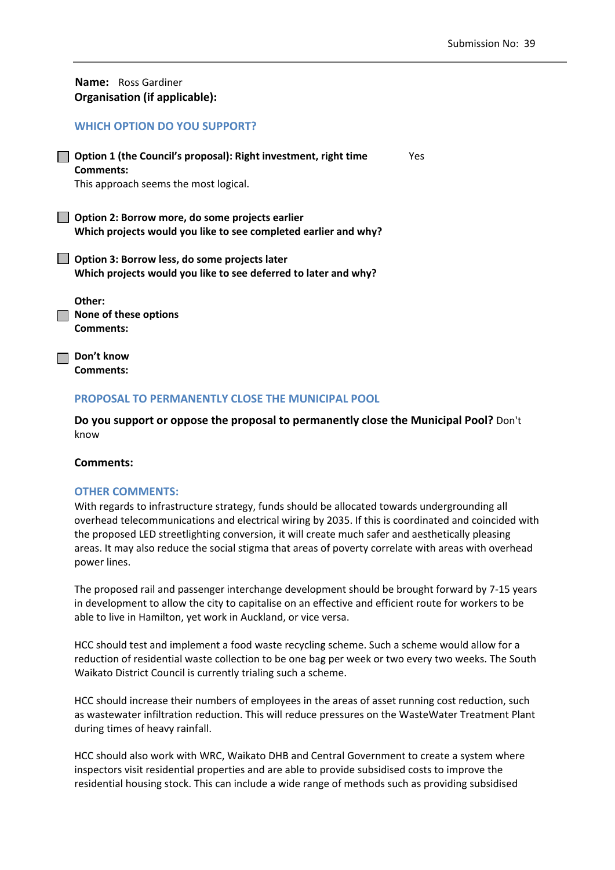| <b>Name:</b> Ross Gardiner<br>Organisation (if applicable):                                                           |     |
|-----------------------------------------------------------------------------------------------------------------------|-----|
| <b>WHICH OPTION DO YOU SUPPORT?</b>                                                                                   |     |
| Option 1 (the Council's proposal): Right investment, right time<br>Comments:<br>This approach seems the most logical. | Yes |
| Option 2: Borrow more, do some projects earlier<br>Which projects would you like to see completed earlier and why?    |     |
| Option 3: Borrow less, do some projects later<br>Which projects would you like to see deferred to later and why?      |     |

**Other: None of these options Comments:** 

**Don't know Comments:** 

## **PROPOSAL TO PERMANENTLY CLOSE THE MUNICIPAL POOL**

**Do you support or oppose the proposal to permanently close the Municipal Pool?** Don't know

## **Comments:**

## **OTHER COMMENTS:**

With regards to infrastructure strategy, funds should be allocated towards undergrounding all overhead telecommunications and electrical wiring by 2035. If this is coordinated and coincided with the proposed LED streetlighting conversion, it will create much safer and aesthetically pleasing areas. It may also reduce the social stigma that areas of poverty correlate with areas with overhead power lines.

The proposed rail and passenger interchange development should be brought forward by 7‐15 years in development to allow the city to capitalise on an effective and efficient route for workers to be able to live in Hamilton, yet work in Auckland, or vice versa.

HCC should test and implement a food waste recycling scheme. Such a scheme would allow for a reduction of residential waste collection to be one bag per week or two every two weeks. The South Waikato District Council is currently trialing such a scheme.

HCC should increase their numbers of employees in the areas of asset running cost reduction, such as wastewater infiltration reduction. This will reduce pressures on the WasteWater Treatment Plant during times of heavy rainfall.

HCC should also work with WRC, Waikato DHB and Central Government to create a system where inspectors visit residential properties and are able to provide subsidised costs to improve the residential housing stock. This can include a wide range of methods such as providing subsidised